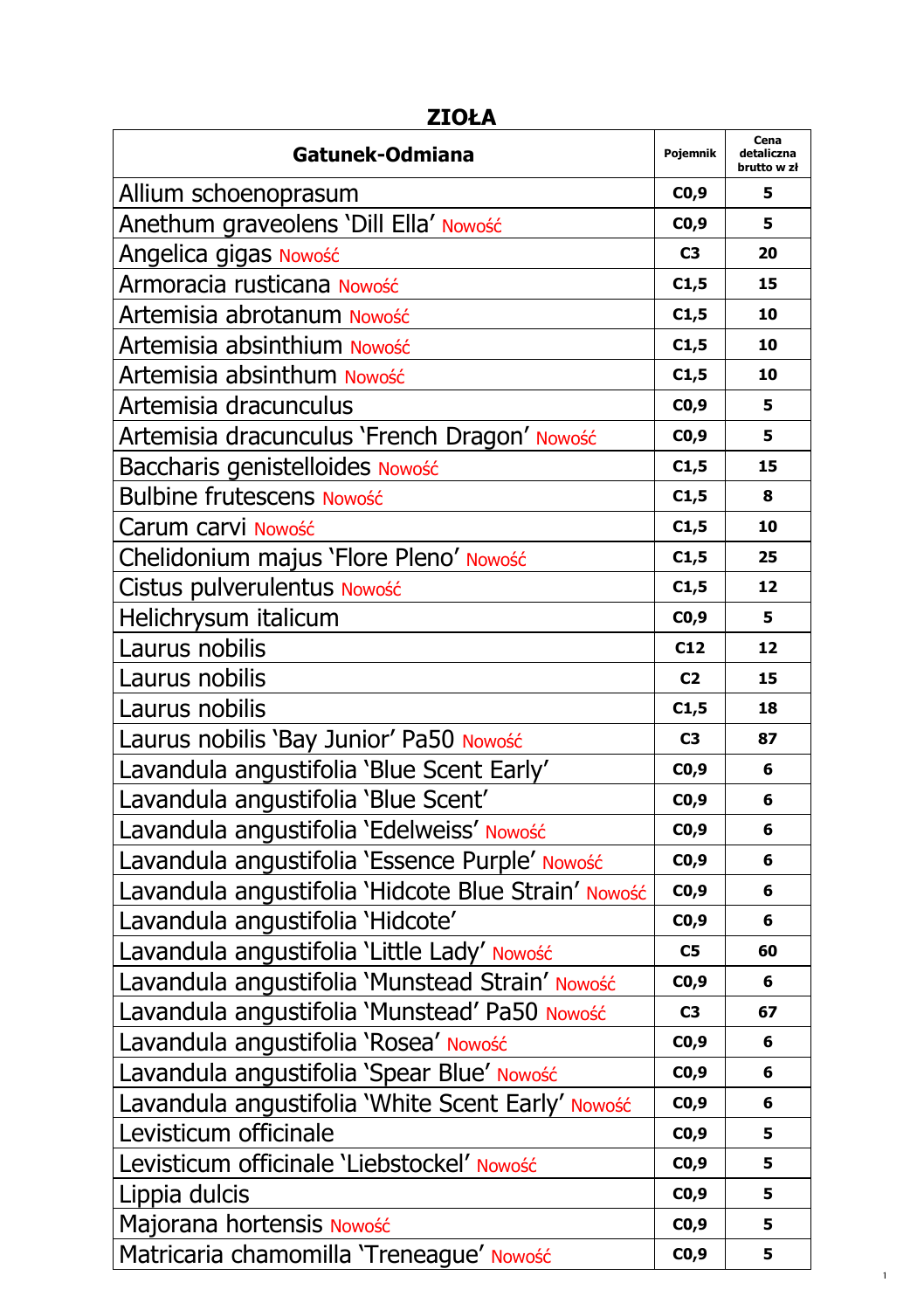| Gatunek-Odmiana                                     | Pojemnik       | Cena<br>detaliczna<br>brutto w zł |
|-----------------------------------------------------|----------------|-----------------------------------|
| Allium schoenoprasum                                | CO,9           | 5                                 |
| Anethum graveolens 'Dill Ella' Nowość               | CO,9           | 5                                 |
| Angelica gigas Nowość                               | C <sub>3</sub> | 20                                |
| Armoracia rusticana Nowość                          | C1,5           | 15                                |
| Artemisia abrotanum Nowość                          | C1,5           | 10                                |
| Artemisia absinthium Nowość                         | C1,5           | 10                                |
| Artemisia absinthum Nowość                          | C1,5           | 10                                |
| Artemisia dracunculus                               | C0,9           | 5                                 |
| Artemisia dracunculus 'French Dragon' Nowość        | CO,9           | 5                                 |
| Baccharis genistelloides Nowość                     | C1,5           | 15                                |
| <b>Bulbine frutescens Nowość</b>                    | C1,5           | 8                                 |
| Carum carvi Nowość                                  | C1,5           | 10                                |
| Chelidonium majus 'Flore Pleno' Nowość              | C1,5           | 25                                |
| Cistus pulverulentus Nowość                         | C1,5           | 12                                |
| Helichrysum italicum                                | CO,9           | 5                                 |
| Laurus nobilis                                      | C12            | 12                                |
| Laurus nobilis                                      | C <sub>2</sub> | 15                                |
| Laurus nobilis                                      | C1,5           | 18                                |
| Laurus nobilis 'Bay Junior' Pa50 Nowość             | C <sub>3</sub> | 87                                |
| Lavandula angustifolia 'Blue Scent Early'           | CO,9           | 6                                 |
| Lavandula angustifolia 'Blue Scent'                 | CO,9           | 6                                 |
| Lavandula angustifolia 'Edelweiss' Nowość           | CO,9           | 6                                 |
| Lavandula angustifolia 'Essence Purple' Nowość      | CO,9           | 6                                 |
| Lavandula angustifolia 'Hidcote Blue Strain' Nowość | CO,9           | 6                                 |
| Lavandula angustifolia 'Hidcote'                    | CO,9           | 6                                 |
| Lavandula angustifolia 'Little Lady' Nowość         | C <sub>5</sub> | 60                                |
| Lavandula angustifolia 'Munstead Strain' Nowość     | CO,9           | 6                                 |
| Lavandula angustifolia 'Munstead' Pa50 Nowość       | C <sub>3</sub> | 67                                |
| Lavandula angustifolia 'Rosea' Nowość               | CO,9           | 6                                 |
| Lavandula angustifolia 'Spear Blue' Nowość          | CO,9           | 6                                 |
| Lavandula angustifolia 'White Scent Early' Nowość   | C0,9           | 6                                 |
| Levisticum officinale                               | CO,9           | 5                                 |
| Levisticum officinale 'Liebstockel' Nowość          | CO,9           | 5                                 |
| Lippia dulcis                                       | CO,9           | 5                                 |
| Majorana hortensis Nowość                           | CO,9           | 5                                 |
| Matricaria chamomilla 'Treneague' Nowość            | CO,9           | 5                                 |

1

## **ZIOŁA**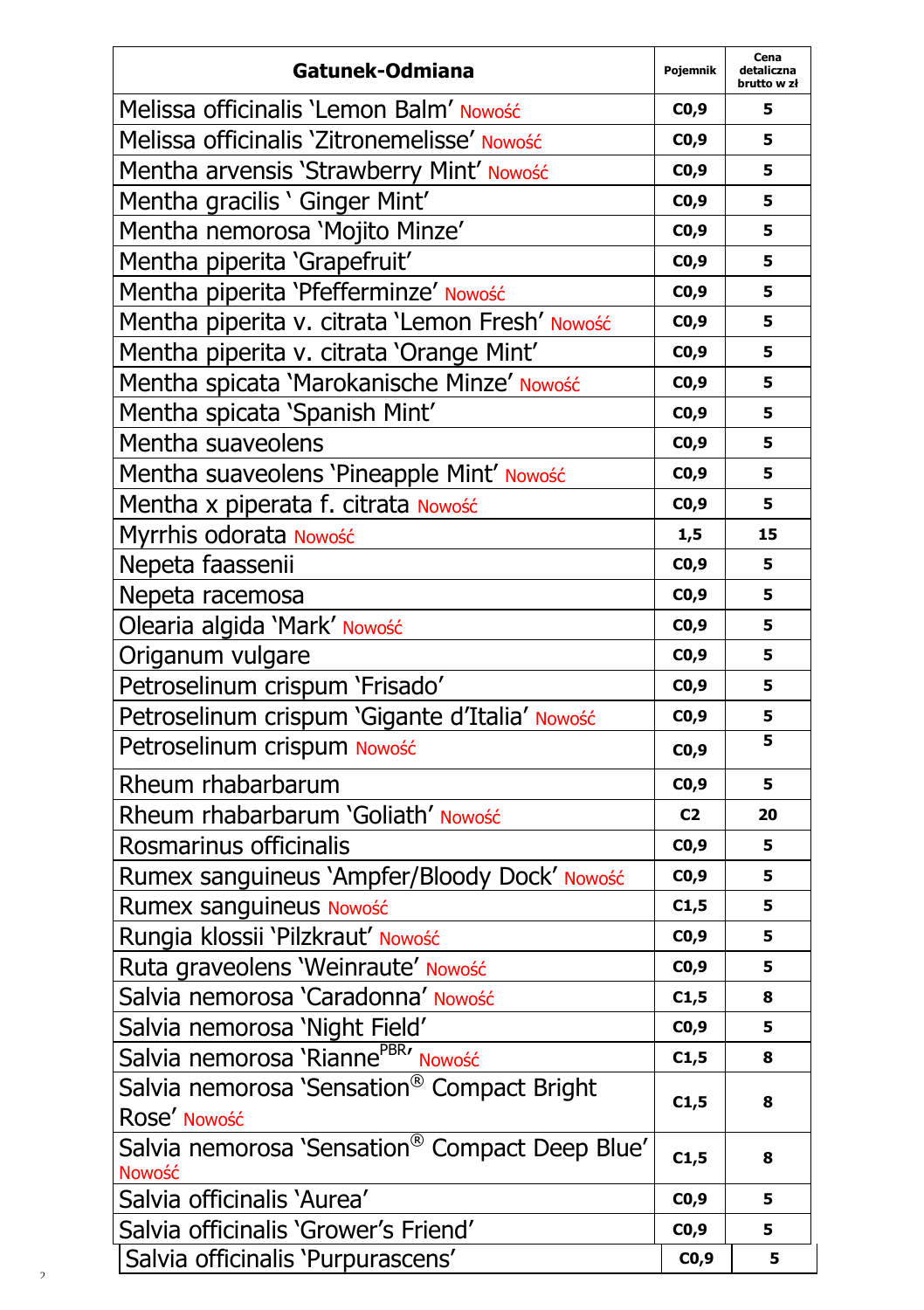| Gatunek-Odmiana                                            | Pojemnik       | Cena<br>detaliczna<br>brutto w zł |
|------------------------------------------------------------|----------------|-----------------------------------|
| Melissa officinalis 'Lemon Balm' Nowość                    | CO,9           | 5                                 |
| Melissa officinalis 'Zitronemelisse' Nowość                | CO,9           | 5                                 |
| Mentha arvensis 'Strawberry Mint' Nowość                   | CO,9           | 5                                 |
| Mentha gracilis ' Ginger Mint'                             | CO,9           | 5                                 |
| Mentha nemorosa 'Mojito Minze'                             | CO,9           | 5                                 |
| Mentha piperita 'Grapefruit'                               | CO,9           | 5                                 |
| Mentha piperita 'Pfefferminze' Nowość                      | CO,9           | 5                                 |
| Mentha piperita v. citrata 'Lemon Fresh' Nowość            | CO,9           | 5                                 |
| Mentha piperita v. citrata 'Orange Mint'                   | CO,9           | 5                                 |
| Mentha spicata 'Marokanische Minze' Nowość                 | CO,9           | 5                                 |
| Mentha spicata 'Spanish Mint'                              | CO,9           | 5                                 |
| Mentha suaveolens                                          | CO,9           | 5                                 |
| Mentha suaveolens 'Pineapple Mint' Nowość                  | CO,9           | 5                                 |
| Mentha x piperata f. citrata Nowość                        | CO,9           | 5                                 |
| Myrrhis odorata Nowość                                     | 1,5            | 15                                |
| Nepeta faassenii                                           | CO,9           | 5                                 |
| Nepeta racemosa                                            | CO,9           | 5                                 |
| Olearia algida 'Mark' Nowość                               | CO,9           | 5                                 |
| Origanum vulgare                                           | CO,9           | 5                                 |
| Petroselinum crispum 'Frisado'                             | CO,9           | 5                                 |
| Petroselinum crispum 'Gigante d'Italia' Nowość             | CO,9           | 5                                 |
| Petroselinum crispum Nowość                                | CO,9           | 5                                 |
| Rheum rhabarbarum                                          | CO,9           | 5                                 |
| Rheum rhabarbarum 'Goliath' Nowość                         | C <sub>2</sub> | 20                                |
| Rosmarinus officinalis                                     | CO,9           | 5                                 |
| Rumex sanguineus 'Ampfer/Bloody Dock' Nowość               | CO,9           | 5                                 |
| Rumex sanguineus Nowość                                    | C1,5           | 5                                 |
| Rungia klossii 'Pilzkraut' Nowość                          | CO, 9          | 5                                 |
| Ruta graveolens 'Weinraute' Nowość                         | CO,9           | 5                                 |
| Salvia nemorosa 'Caradonna' Nowość                         | C1,5           | 8                                 |
| Salvia nemorosa 'Night Field'                              | CO,9           | 5                                 |
| Salvia nemorosa 'Rianne <sup>PBR</sup> ' Nowość            | C1,5           | 8                                 |
| Salvia nemorosa 'Sensation® Compact Bright<br>Rose' Nowość | C1,5           | 8                                 |
| Salvia nemorosa 'Sensation® Compact Deep Blue'<br>Nowość   | C1,5           | 8                                 |
| Salvia officinalis 'Aurea'                                 | CO,9           | 5                                 |
| Salvia officinalis 'Grower's Friend'                       | CO,9           | 5                                 |
| Salvia officinalis 'Purpurascens'                          | CO,9           | 5                                 |

 $\overline{\mathbf{c}}$